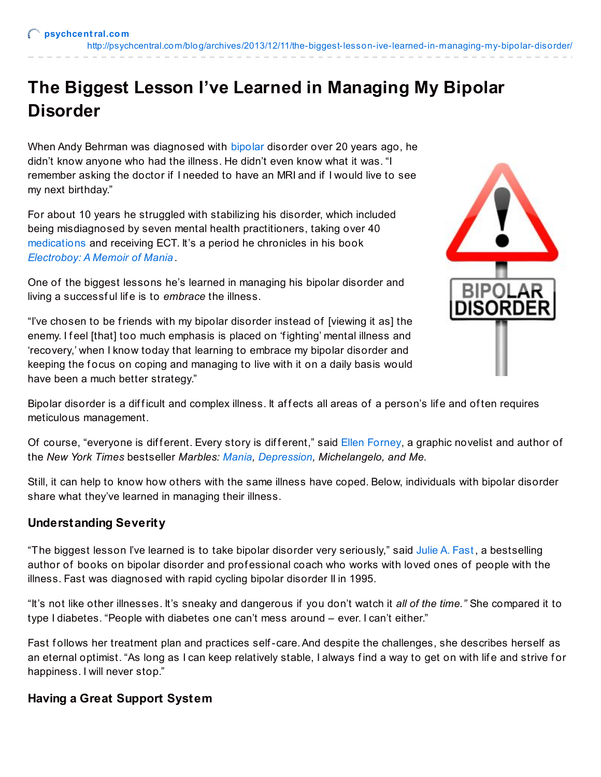# **The Biggest Lesson I've Learned in Managing My Bipolar Disorder**

When Andy Behrman was diagnosed with [bipolar](http://psychcentral.com/disorders/bipolar/) disorder over 20 years ago, he didn't know anyone who had the illness. He didn't even know what it was. "I remember asking the doctor if I needed to have an MRI and if I would live to see my next birthday."

For about 10 years he struggled with stabilizing his disorder, which included being misdiagnosed by seven mental health practitioners, taking over 40 [medications](http://psychcentral.com/drugs/) and receiving ECT. It's a period he chronicles in his book *[Electroboy:](http://www.electroboy.com/) A Memoir of Mania .*

One of the biggest lessons he's learned in managing his bipolar disorder and living a successf ul lif e is to *embrace* the illness.

"I've chosen to be friends with my bipolar disorder instead of [viewing it as] the enemy. I feel [that] too much emphasis is placed on 'fighting' mental illness and 'recovery,' when I know today that learning to embrace my bipolar disorder and keeping the focus on coping and managing to live with it on a daily basis would have been a much better strategy."



Bipolar disorder is a difficult and complex illness. It affects all areas of a person's life and often requires meticulous management.

Of course, "everyone is different. Every story is different," said Ellen [Forney](http://marblesbyellenforney.com/), a graphic novelist and author of the *New York Times* bestseller *Marbles: [Mania](http://psychcentral.com/disorders/sx9.htm), [Depression](http://psychcentral.com/disorders/depression/), Michelangelo, and Me.*

Still, it can help to know how others with the same illness have coped. Below, individuals with bipolar disorder share what they've learned in managing their illness.

# **Understanding Severity**

"The biggest lesson I've learned is to take bipolar disorder very seriously," said [Julie](http://www.juliefast.com/) A. Fast, a bestselling author of books on bipolar disorder and prof essional coach who works with loved ones of people with the illness. Fast was diagnosed with rapid cycling bipolar disorder II in 1995.

"It's not like other illnesses. It's sneaky and dangerous if you don't watch it *all of the time."* She compared it to type I diabetes. "People with diabetes one can't mess around – ever. I can't either."

Fast follows her treatment plan and practices self-care. And despite the challenges, she describes herself as an eternal optimist. "As long as I can keep relatively stable, I always find a way to get on with life and strive for happiness. I will never stop."

## **Having a Great Support System**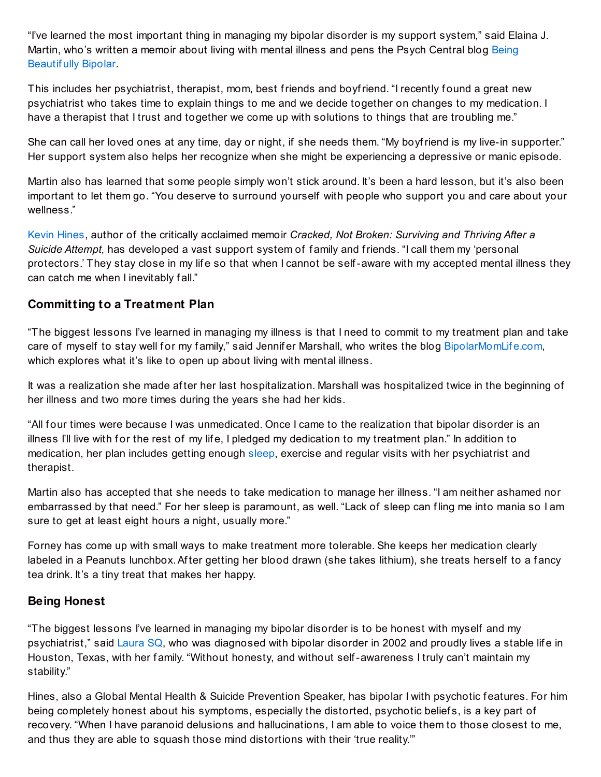"I've learned the most important thing in managing my bipolar disorder is my support system," said Elaina J. Martin, who's written a memoir about living with mental illness and pens the Psych [Central](http://blogs.psychcentral.com/being-bipolar/) blog Being Beautif ully Bipolar.

This includes her psychiatrist, therapist, mom, best friends and boyfriend. "I recently f ound a great new psychiatrist who takes time to explain things to me and we decide together on changes to my medication. I have a therapist that I trust and together we come up with solutions to things that are troubling me."

She can call her loved ones at any time, day or night, if she needs them. "My boyfriend is my live-in supporter." Her support system also helps her recognize when she might be experiencing a depressive or manic episode.

Martin also has learned that some people simply won't stick around. It's been a hard lesson, but it's also been important to let them go. "You deserve to surround yourself with people who support you and care about your wellness."

Kevin [Hines](http://www.kevinhinesstory.com/), author of the critically acclaimed memoir *Cracked, Not Broken: Surviving and Thriving After a Suicide Attempt,* has developed a vast support system of f amily and friends. "I call them my 'personal protectors.' They stay close in my life so that when I cannot be self-aware with my accepted mental illness they can catch me when I inevitably fall."

## **Committing to a Treatment Plan**

"The biggest lessons I've learned in managing my illness is that I need to commit to my treatment plan and take care of myself to stay well for my family," said Jennifer Marshall, who writes the blog [BipolarMomLif](http://bipolarmomlife.com/)e.com, which explores what it's like to open up about living with mental illness.

It was a realization she made af ter her last hospitalization. Marshall was hospitalized twice in the beginning of her illness and two more times during the years she had her kids.

"All four times were because I was unmedicated. Once I came to the realization that bipolar disorder is an illness I'll live with for the rest of my life, I pledged my dedication to my treatment plan." In addition to medication, her plan includes getting enough [sleep](http://psychcentral.com/disorders/sleep/), exercise and regular visits with her psychiatrist and therapist.

Martin also has accepted that she needs to take medication to manage her illness. "I am neither ashamed nor embarrassed by that need." For her sleep is paramount, as well. "Lack of sleep can f ling me into mania so I am sure to get at least eight hours a night, usually more."

Forney has come up with small ways to make treatment more tolerable. She keeps her medication clearly labeled in a Peanuts lunchbox. After getting her blood drawn (she takes lithium), she treats herself to a fancy tea drink. It's a tiny treat that makes her happy.

#### **Being Honest**

"The biggest lessons I've learned in managing my bipolar disorder is to be honest with myself and my psychiatrist," said [Laura](http://mrsbipolarity.com/) SQ, who was diagnosed with bipolar disorder in 2002 and proudly lives a stable life in Houston, Texas, with her family. "Without honesty, and without self-awareness I truly can't maintain my stability."

Hines, also a Global Mental Health & Suicide Prevention Speaker, has bipolar I with psychotic features. For him being completely honest about his symptoms, especially the distorted, psychotic belief s, is a key part of recovery. "When I have paranoid delusions and hallucinations, I am able to voice them to those closest to me, and thus they are able to squash those mind distortions with their 'true reality.'"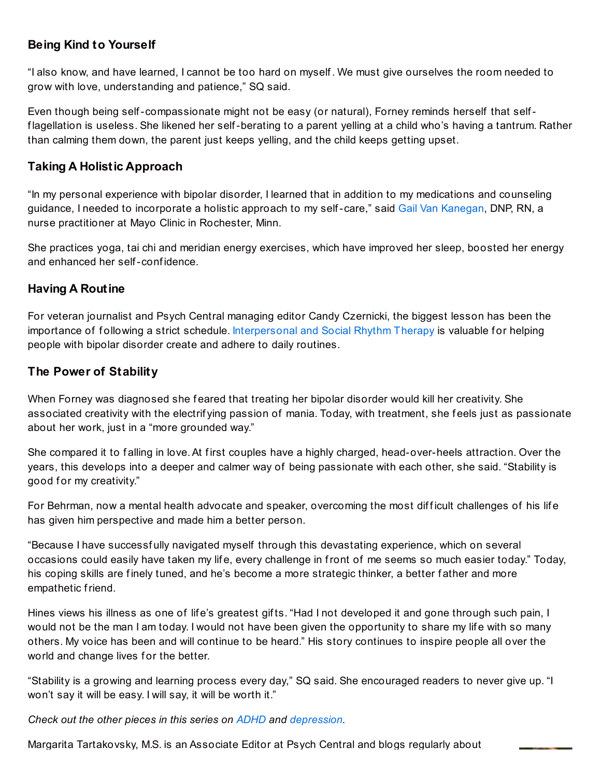# **Being Kind to Yourself**

"I also know, and have learned, I cannot be too hard on myself . We must give ourselves the room needed to grow with love, understanding and patience," SQ said.

Even though being self-compassionate might not be easy (or natural), Forney reminds herself that selff lagellation is useless. She likened her self-berating to a parent yelling at a child who's having a tantrum. Rather than calming them down, the parent just keeps yelling, and the child keeps getting upset.

## **Taking A Holistic Approach**

"In my personal experience with bipolar disorder, I learned that in addition to my medications and counseling guidance, I needed to incorporate a holistic approach to my self-care," said Gail Van [Kanegan](http://www.midwestenergymovement.com/), DNP, RN, a nurse practitioner at Mayo Clinic in Rochester, Minn.

She practices yoga, tai chi and meridian energy exercises, which have improved her sleep, boosted her energy and enhanced her self-conf idence.

#### **Having A Routine**

For veteran journalist and Psych Central managing editor Candy Czernicki, the biggest lesson has been the importance of following a strict schedule. [Interpersonal](http://psychcentral.com/lib/interpersonal-and-social-rhythm-therapy/0001559) and Social Rhythm Therapy is valuable for helping people with bipolar disorder create and adhere to daily routines.

#### **The Power of Stability**

When Forney was diagnosed she feared that treating her bipolar disorder would kill her creativity. She associated creativity with the electrif ying passion of mania. Today, with treatment, she f eels just as passionate about her work, just in a "more grounded way."

She compared it to falling in love. At first couples have a highly charged, head-over-heels attraction. Over the years, this develops into a deeper and calmer way of being passionate with each other, she said. "Stability is good for my creativity."

For Behrman, now a mental health advocate and speaker, overcoming the most difficult challenges of his life has given him perspective and made him a better person.

"Because I have successf ully navigated myself through this devastating experience, which on several occasions could easily have taken my life, every challenge in front of me seems so much easier today." Today, his coping skills are finely tuned, and he's become a more strategic thinker, a better father and more empathetic friend.

Hines views his illness as one of life's greatest gifts. "Had I not developed it and gone through such pain, I would not be the man I am today. I would not have been given the opportunity to share my life with so many others. My voice has been and will continue to be heard." His story continues to inspire people all over the world and change lives for the better.

"Stability is a growing and learning process every day," SQ said. She encouraged readers to never give up. "I won't say it will be easy. I will say, it will be worth it."

*Check out the other pieces in this series on [ADHD](http://psychcentral.com/disorders/adhd/) and [depression](http://psychcentral.com/blog/archives/2013/10/27/the-biggest-lesson-ive-learned-in-managing-my-depression/).*

Margarita Tartakovsky, M.S. is an Associate Editor at Psych Central and blogs regularly about